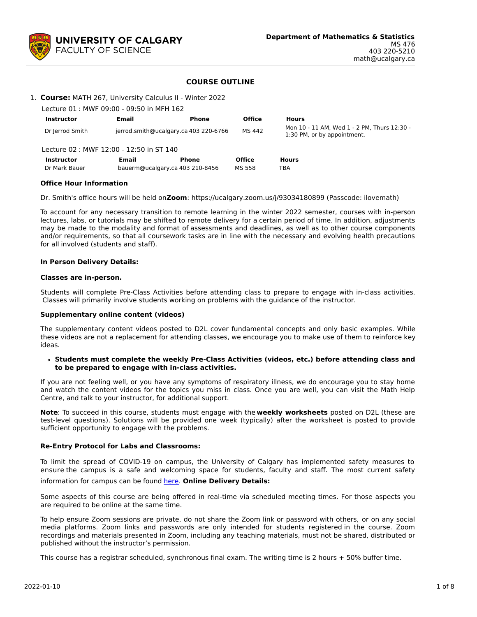

# **COURSE OUTLINE**

| 1. Course: MATH 267, University Calculus II - Winter 2022 |  |  |
|-----------------------------------------------------------|--|--|
|                                                           |  |  |

| Lecture 01 : MWF 09:00 - 09:50 in MFH 162 |                                       |              |               |                                                                            |
|-------------------------------------------|---------------------------------------|--------------|---------------|----------------------------------------------------------------------------|
| <b>Instructor</b>                         | Email                                 | Phone        | <b>Office</b> | <b>Hours</b>                                                               |
| Dr Jerrod Smith                           | jerrod.smith@ucalgary.ca 403 220-6766 |              | MS 442        | Mon 10 - 11 AM, Wed 1 - 2 PM, Thurs 12:30 -<br>1:30 PM, or by appointment. |
| Lecture 02 : MWF 12:00 - 12:50 in ST 140  |                                       |              |               |                                                                            |
| <b>Instructor</b>                         | Email                                 | <b>Phone</b> | <b>Office</b> | <b>Hours</b>                                                               |
| Dr Mark Bauer                             | bauerm@ucalgary.ca 403 210-8456       |              | MS 558        | TBA                                                                        |

### **Office Hour Information**

Dr. Smith's office hours will be held on**Zoom**: https://ucalgary.zoom.us/j/93034180899 (Passcode: ilovemath)

To account for any necessary transition to remote learning in the winter 2022 semester, courses with in-person lectures, labs, or tutorials may be shifted to remote delivery for a certain period of time. In addition, adjustments may be made to the modality and format of assessments and deadlines, as well as to other course components and/or requirements, so that all coursework tasks are in line with the necessary and evolving health precautions for all involved (students and staff).

### **In Person Delivery Details:**

### **Classes are in-person.**

Students will complete Pre-Class Activities before attending class to prepare to engage with in-class activities. Classes will primarily involve students working on problems with the guidance of the instructor.

#### **Supplementary online content (videos)**

The supplementary content videos posted to D2L cover fundamental concepts and only basic examples. While these videos are not a replacement for attending classes, we encourage you to make use of them to reinforce key ideas.

### **Students must complete the weekly Pre-Class Activities (videos, etc.) before attending class and to be prepared to engage with in-class activities.**

If you are not feeling well, or you have any symptoms of respiratory illness, we do encourage you to stay home and watch the content videos for the topics you miss in class. Once you are well, you can visit the Math Help Centre, and talk to your instructor, for additional support.

**Note**: To succeed in this course, students must engage with the **weekly worksheets** posted on D2L (these are test-level questions). Solutions will be provided one week (typically) after the worksheet is posted to provide sufficient opportunity to engage with the problems.

## **Re-Entry Protocol for Labs and Classrooms:**

To limit the spread of COVID-19 on campus, the University of Calgary has implemented safety measures to ensure the campus is a safe and welcoming space for students, faculty and staff. The most current safety information for campus can be found [here](https://www.ucalgary.ca/risk/emergency-management/covid-19-response/return-campus-safety). **Online Delivery Details:**

Some aspects of this course are being offered in real-time via scheduled meeting times. For those aspects you are required to be online at the same time.

To help ensure Zoom sessions are private, do not share the Zoom link or password with others, or on any social media platforms. Zoom links and passwords are only intended for students registered in the course. Zoom recordings and materials presented in Zoom, including any teaching materials, must not be shared, distributed or published without the instructor's permission.

This course has a registrar scheduled, synchronous final exam. The writing time is 2 hours + 50% buffer time.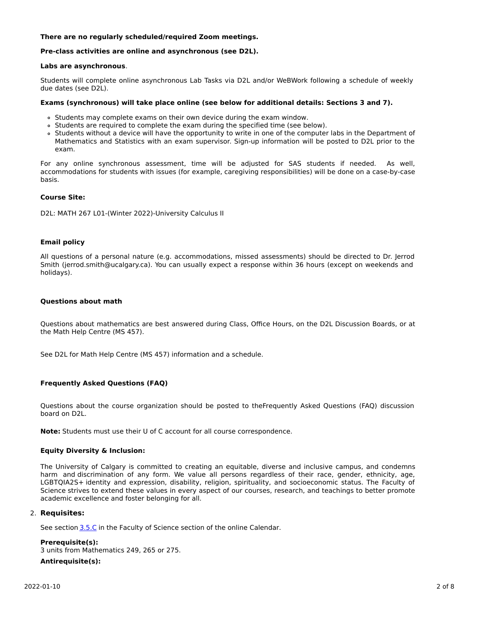## **There are no regularly scheduled/required Zoom meetings.**

## **Pre-class activities are online and asynchronous (see D2L).**

#### **Labs are asynchronous**.

Students will complete online asynchronous Lab Tasks via D2L and/or WeBWork following a schedule of weekly due dates (see D2L).

### **Exams (synchronous) will take place online (see below for additional details: Sections 3 and 7).**

- Students may complete exams on their own device during the exam window.
- o Students are required to complete the exam during the specified time (see below).
- Students without a device will have the opportunity to write in one of the computer labs in the Department of Mathematics and Statistics with an exam supervisor. Sign-up information will be posted to D2L prior to the exam.

For any online synchronous assessment, time will be adjusted for SAS students if needed. As well, accommodations for students with issues (for example, caregiving responsibilities) will be done on a case-by-case basis.

### **Course Site:**

D2L: MATH 267 L01-(Winter 2022)-University Calculus II

### **Email policy**

All questions of a personal nature (e.g. accommodations, missed assessments) should be directed to Dr. Jerrod Smith (jerrod.smith@ucalgary.ca). You can usually expect a response within 36 hours (except on weekends and holidays).

### **Questions about math**

Questions about mathematics are best answered during Class, Office Hours, on the D2L Discussion Boards, or at the Math Help Centre (MS 457).

See D2L for Math Help Centre (MS 457) information and a schedule.

## **Frequently Asked Questions (FAQ)**

Questions about the course organization should be posted to theFrequently Asked Questions (FAQ) discussion board on D2L.

**Note:** Students must use their U of C account for all course correspondence.

#### **Equity Diversity & Inclusion:**

The University of Calgary is committed to creating an equitable, diverse and inclusive campus, and condemns harm and discrimination of any form. We value all persons regardless of their race, gender, ethnicity, age, LGBTQIA2S+ identity and expression, disability, religion, spirituality, and socioeconomic status. The Faculty of Science strives to extend these values in every aspect of our courses, research, and teachings to better promote academic excellence and foster belonging for all.

#### 2. **Requisites:**

See section [3.5.C](http://www.ucalgary.ca/pubs/calendar/current/sc-3-5.html) in the Faculty of Science section of the online Calendar.

**Prerequisite(s):** 3 units from Mathematics 249, 265 or 275.

#### **Antirequisite(s):**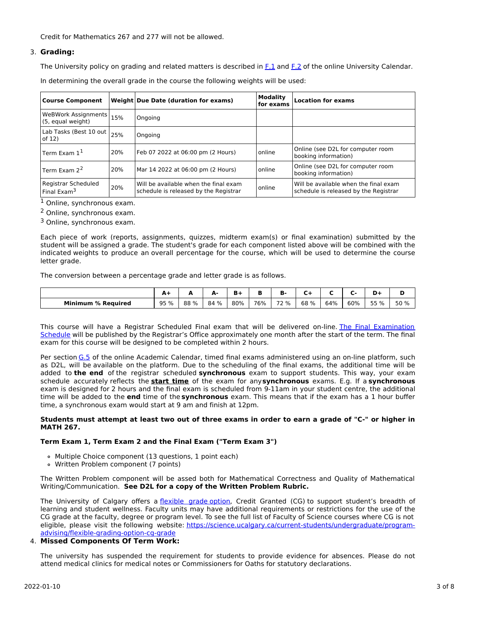Credit for Mathematics 267 and 277 will not be allowed.

# 3. **Grading:**

The University policy on grading and related matters is described in [F.1](http://www.ucalgary.ca/pubs/calendar/current/f-1.html) and [F.2](http://www.ucalgary.ca/pubs/calendar/current/f-2.html) of the online University Calendar.

In determining the overall grade in the course the following weights will be used:

| <b>Course Component</b>                        |     | Weight Due Date (duration for exams)                                           | <b>Modality</b><br>for exams | <b>Location for exams</b>                                                      |
|------------------------------------------------|-----|--------------------------------------------------------------------------------|------------------------------|--------------------------------------------------------------------------------|
| WeBWork Assignments 15%<br>(5, equal weight)   |     | Ongoing                                                                        |                              |                                                                                |
| Lab Tasks (Best 10 out $ _{25\%}$<br>of 12)    |     | Ongoing                                                                        |                              |                                                                                |
| Term Exam $11$                                 | 20% | Feb 07 2022 at 06:00 pm (2 Hours)                                              | online                       | Online (see D2L for computer room<br>booking information)                      |
| Term Fxam $2^2$                                | 20% | Mar 14 2022 at 06:00 pm (2 Hours)                                              | online                       | Online (see D2L for computer room<br>booking information)                      |
| Registrar Scheduled<br>Final Exam <sup>3</sup> | 20% | Will be available when the final exam<br>schedule is released by the Registrar | online                       | Will be available when the final exam<br>schedule is released by the Registrar |

<sup>1</sup> Online, synchronous exam.

<sup>2</sup> Online, synchronous exam.

<sup>3</sup> Online, synchronous exam.

Each piece of work (reports, assignments, quizzes, midterm exam(s) or final examination) submitted by the student will be assigned a grade. The student's grade for each component listed above will be combined with the indicated weights to produce an overall percentage for the course, which will be used to determine the course letter grade.

The conversion between a percentage grade and letter grade is as follows.

|                           | <b>. .</b> |      | л.   |     | Ð   | в<br>в. |      |     |     |         |         |
|---------------------------|------------|------|------|-----|-----|---------|------|-----|-----|---------|---------|
| <b>Minimum % Required</b> | 95 %       | 88 % | 84 % | 80% | 76% | 72 %    | 68 % | 64% | 60% | 55<br>% | 50<br>% |

This course will have a Registrar Scheduled Final exam that will be delivered on-line. The Final Examination Schedule will be published by the Registrar's Office [approximately](https://www.ucalgary.ca/registrar/exams) one month after the start of the term. The final exam for this course will be designed to be completed within 2 hours.

Per section [G.5](https://www.ucalgary.ca/pubs/calendar/current/g-5.html) of the online Academic Calendar, timed final exams administered using an on-line platform, such as D2L, will be available on the platform. Due to the scheduling of the final exams, the additional time will be added to **the end** of the registrar scheduled **synchronous** exam to support students. This way, your exam schedule accurately reflects the **start time** of the exam for any**synchronous** exams. E.g. If a **synchronous** exam is designed for 2 hours and the final exam is scheduled from 9-11am in your student centre, the additional time will be added to the **end** time of the **synchronous** exam. This means that if the exam has a 1 hour buffer time, a synchronous exam would start at 9 am and finish at 12pm.

### Students must attempt at least two out of three exams in order to earn a grade of "C-" or higher in **MATH 267.**

## **Term Exam 1, Term Exam 2 and the Final Exam ("Term Exam 3")**

- Multiple Choice component (13 questions, 1 point each)
- Written Problem component (7 points)

The Written Problem component will be assed both for Mathematical Correctness and Quality of Mathematical Writing/Communication. **See D2L for a copy of the Written Problem Rubric.**

The University of Calgary offers a *[flexible](https://www.ucalgary.ca/pubs/calendar/current/f-1-3.html) grade option*, Credit Granted (CG) to support student's breadth of learning and student wellness. Faculty units may have additional requirements or restrictions for the use of the CG grade at the faculty, degree or program level. To see the full list of Faculty of Science courses where CG is not eligible, please visit the following website: [https://science.ucalgary.ca/current-students/undergraduate/program](https://science.ucalgary.ca/current-students/undergraduate/program-advising/flexible-grading-option-cg-grade)advising/flexible-grading-option-cg-grade

# 4. **Missed Components Of Term Work:**

The university has suspended the requirement for students to provide evidence for absences. Please do not attend medical clinics for medical notes or Commissioners for Oaths for statutory declarations.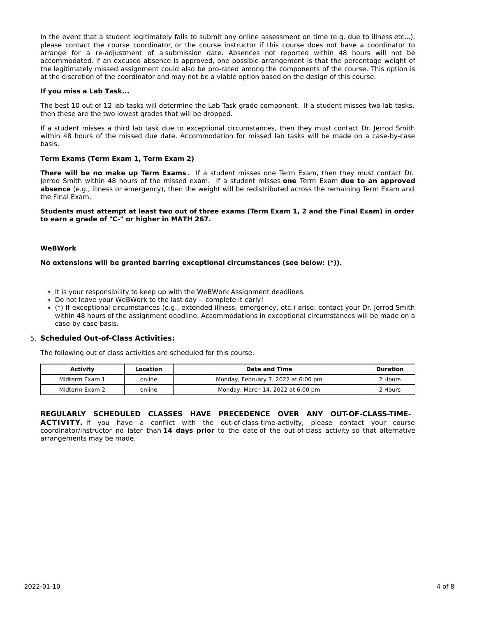In the event that a student legitimately fails to submit any online assessment on time (e.g. due to illness etc...), please contact the course coordinator, or the course instructor if this course does not have a coordinator to arrange for a re-adjustment of a submission date. Absences not reported within 48 hours will not be accommodated. If an excused absence is approved, one possible arrangement is that the percentage weight of the legitimately missed assignment could also be pro-rated among the components of the course. This option is at the discretion of the coordinator and may not be a viable option based on the design of this course.

### **If you miss a Lab Task...**

The best 10 out of 12 lab tasks will determine the Lab Task grade component. If a student misses two lab tasks, then these are the two lowest grades that will be dropped.

If a student misses a third lab task due to exceptional circumstances, then they must contact Dr. Jerrod Smith within 48 hours of the missed due date. Accommodation for missed lab tasks will be made on a case-by-case basis.

### **Term Exams (Term Exam 1, Term Exam 2)**

**There will be no make up Term Exams** . If a student misses one Term Exam, then they must contact Dr. Jerrod Smith within 48 hours of the missed exam. If a student misses **one** Term Exam **due to an approved absence** (e.g., illness or emergency), then the weight will be redistributed across the remaining Term Exam and the Final Exam.

#### Students must attempt at least two out of three exams (Term Exam 1, 2 and the Final Exam) in order **to earn a grade of "C-" or higher in MATH 267.**

#### **WeBWork**

#### **No extensions will be granted barring exceptional circumstances (see below: (\*)).**

- It is your responsibility to keep up with the WeBWork Assignment deadlines.
- Do not leave your WeBWork to the last day -- complete it early!
- (\*) If exceptional circumstances (e.g., extended illness, emergency, etc.) arise: contact your Dr. Jerrod Smith within 48 hours of the assignment deadline. Accommodations in exceptional circumstances will be made on a case-by-case basis.

## 5. **Scheduled Out-of-Class Activities:**

arrangements may be made.

The following out of class activities are scheduled for this course.

| Activity       | Date and Time<br>Location |                                     | Duration |
|----------------|---------------------------|-------------------------------------|----------|
| Midterm Exam 1 | online                    | Monday, February 7, 2022 at 6:00 pm | 2 Hours  |
| Midterm Exam 2 | online                    | Monday, March 14, 2022 at 6:00 pm   | 2 Hours  |

#### **REGULARLY SCHEDULED CLASSES HAVE PRECEDENCE OVER ANY OUT-OF-CLASS-TIME-**ACTIVITY. If you have a conflict with the out-of-class-time-activity, please contact your course coordinator/instructor no later than **14 days prior** to the date of the out-of-class activity so that alternative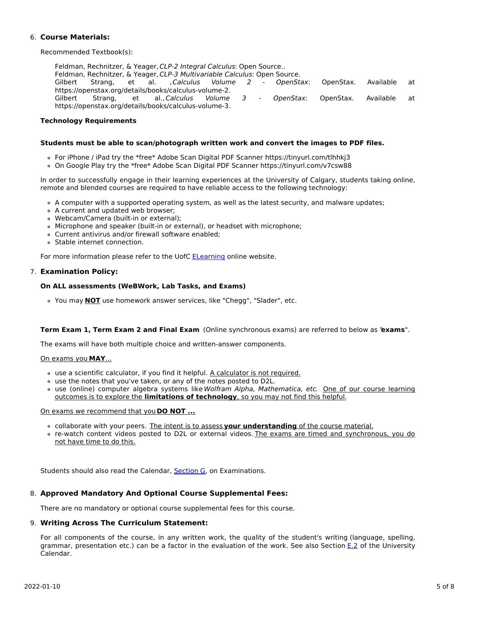# 6. **Course Materials:**

Recommended Textbook(s):

Feldman, Rechnitzer, & Yeager, CLP-2 Integral Calculus: Open Source.. Feldman, Rechnitzer, & Yeager, CLP-3 Multivariable Calculus: Open Source. Gilbert Strang, et al. ,*Calculus Volume 2 - OpenStax*: OpenStax. Available at https://openstax.org/details/books/calculus-volume-2. Gilbert Strang, et al., Calculus Volume 3 - OpenStax: OpenStax. Available at https://openstax.org/details/books/calculus-volume-3.

## **Technology Requirements**

### **Students must be able to scan/photograph written work and convert the images to PDF files.**

- For iPhone / iPad try the \*free\* Adobe Scan Digital PDF Scanner https://tinyurl.com/tlhhkj3
- On Google Play try the \*free\* Adobe Scan Digital PDF Scanner https://tinyurl.com/v7csw88

In order to successfully engage in their learning experiences at the University of Calgary, students taking online, remote and blended courses are required to have reliable access to the following technology:

- A computer with a supported operating system, as well as the latest security, and malware updates;
- A current and updated web browser;
- Webcam/Camera (built-in or external);
- Microphone and speaker (built-in or external), or headset with microphone;
- Current antivirus and/or firewall software enabled;
- Stable internet connection.

For more information please refer to the UofC [ELearning](https://elearn.ucalgary.ca/technology-requirements-for-students) online website.

## 7. **Examination Policy:**

### **On ALL assessments (WeBWork, Lab Tasks, and Exams)**

You may **NOT** use homework answer services, like "Chegg", "Slader", etc.

## **Term Exam 1, Term Exam 2 and Final Exam** (Online synchronous exams) are referred to below as "**exams**".

The exams will have both multiple choice and written-answer components.

#### On exams you **MAY**...

- use a scientific calculator, if you find it helpful. A calculator is not required.
- use the notes that you've taken, or any of the notes posted to D2L.
- o use (online) computer algebra systems like Wolfram Alpha, Mathematica, etc. One of our course learning outcomes is to explore the **limitations of technology**, so you may not find this helpful.

#### On exams we recommend that you **DO NOT ...**

- collaborate with your peers. The intent is to assess **your understanding** of the course material.
- re-watch content videos posted to D2L or external videos. The exams are timed and synchronous, you do not have time to do this.

Students should also read the Calendar, [Section](http://www.ucalgary.ca/pubs/calendar/current/g.html) G, on Examinations.

## 8. **Approved Mandatory And Optional Course Supplemental Fees:**

There are no mandatory or optional course supplemental fees for this course.

## 9. **Writing Across The Curriculum Statement:**

For all components of the course, in any written work, the quality of the student's writing (language, spelling, grammar, presentation etc.) can be a factor in the evaluation of the work. See also Section [E.2](http://www.ucalgary.ca/pubs/calendar/current/e-2.html) of the University Calendar.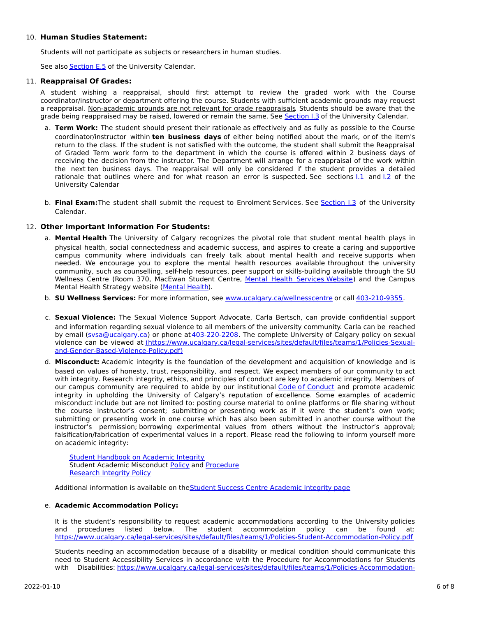## 10. **Human Studies Statement:**

Students will not participate as subjects or researchers in human studies.

See also [Section](http://www.ucalgary.ca/pubs/calendar/current/e-5.html) E.5 of the University Calendar.

### 11. **Reappraisal Of Grades:**

A student wishing a reappraisal, should first attempt to review the graded work with the Course coordinator/instructor or department offering the course. Students with sufficient academic grounds may request a reappraisal. Non-academic grounds are not relevant for grade reappraisals. Students should be aware that the grade being reappraised may be raised, lowered or remain the same. See [Section](http://www.ucalgary.ca/pubs/calendar/current/i-3.html) I.3 of the University Calendar.

- a. **Term Work:** The student should present their rationale as effectively and as fully as possible to the Course coordinator/instructor within **ten business days** of either being notified about the mark, or of the item's return to the class. If the student is not satisfied with the outcome, the student shall submit the Reappraisal of Graded Term work form to the department in which the course is offered within 2 business days of receiving the decision from the instructor. The Department will arrange for a reappraisal of the work within the next ten business days. The reappraisal will only be considered if the student provides a detailed rationale that outlines where and for what reason an error is suspected. See sections  $1.1$  and  $1.2$  of the University Calendar
- b. **Final Exam:**The student shall submit the request to Enrolment Services. See [Section](http://www.ucalgary.ca/pubs/calendar/current/i-3.html) I.3 of the University Calendar.

# 12. **Other Important Information For Students:**

- a. **Mental Health** The University of Calgary recognizes the pivotal role that student mental health plays in physical health, social connectedness and academic success, and aspires to create a caring and supportive campus community where individuals can freely talk about mental health and receive supports when needed. We encourage you to explore the mental health resources available throughout the university community, such as counselling, self-help resources, peer support or skills-building available through the SU Wellness Centre (Room 370, MacEwan Student Centre, Mental Health [Services](https://www.ucalgary.ca/wellnesscentre/services/mental-health-services) Website) and the Campus Mental Health Strategy website [\(Mental](http://www.ucalgary.ca/mentalhealth) Health).
- b. **SU Wellness Services:** For more information, see [www.ucalgary.ca/wellnesscentre](http://www.ucalgary.ca/wellnesscentre) or call [403-210-9355.](tel:4032109355)
- c. **Sexual Violence:** The Sexual Violence Support Advocate, Carla Bertsch, can provide confidential support and information regarding sexual violence to all members of the university community. Carla can be reached by email [\(svsa@ucalgary.ca](mailto:svsa@ucalgary.ca)) or phone at [403-220-2208](tel:4032202208). The complete University of Calgary policy on sexual violence can be viewed at [\(https://www.ucalgary.ca/legal-services/sites/default/files/teams/1/Policies-Sexual](https://www.ucalgary.ca/legal-services/sites/default/files/teams/1/Policies-Sexual-and-Gender-Based-Violence-Policy.pdf)and-Gender-Based-Violence-Policy.pdf)
- d. **Misconduct:** Academic integrity is the foundation of the development and acquisition of knowledge and is based on values of honesty, trust, responsibility, and respect. We expect members of our community to act with integrity. Research integrity, ethics, and principles of conduct are key to academic integrity. Members of our campus community are required to abide by our institutional Code of [Conduct](https://www.ucalgary.ca/legal-services/sites/default/files/teams/1/Policies-Code-of-Conduct.pdf) and promote academic integrity in upholding the University of Calgary's reputation of excellence. Some examples of academic misconduct include but are not limited to: posting course material to online platforms or file sharing without the course instructor's consent; submitting or presenting work as if it were the student's own work; submitting or presenting work in one course which has also been submitted in another course without the instructor's permission; borrowing experimental values from others without the instructor's approval; falsification/fabrication of experimental values in a report. Please read the following to inform yourself more on academic integrity:

**Student [Handbook](https://www.ucalgary.ca/live-uc-ucalgary-site/sites/default/files/teams/9/AI-Student-handbook-1.pdf) on Academic Integrity** Student Academic Misconduct [Policy](https://www.ucalgary.ca/legal-services/sites/default/files/teams/1/Policies-Student-Academic-Misconduct-Policy.pdf) and [Procedure](https://www.ucalgary.ca/legal-services/sites/default/files/teams/1/Policies-Student-Academic-Misconduct-Procedure.pdf) [Research](https://www.ucalgary.ca/legal-services/sites/default/files/teams/1/Policies-Research-Integrity-Policy.pdf) Integrity Policy

Additional information is available on the Student Success Centre [Academic](https://ucalgary.ca/student-services/student-success/learning/academic-integrity) Integrity page

## e. **Academic Accommodation Policy:**

It is the student's responsibility to request academic accommodations according to the University policies and procedures listed below. The student accommodation policy can be found at: <https://www.ucalgary.ca/legal-services/sites/default/files/teams/1/Policies-Student-Accommodation-Policy.pdf>

Students needing an accommodation because of a disability or medical condition should communicate this need to Student Accessibility Services in accordance with the Procedure for Accommodations for Students with Disabilities: [https://www.ucalgary.ca/legal-services/sites/default/files/teams/1/Policies-Accommodation-](https://www.ucalgary.ca/legal-services/sites/default/files/teams/1/Policies-Accommodation-for-Students-with-Disabilities-Procedure.pdf)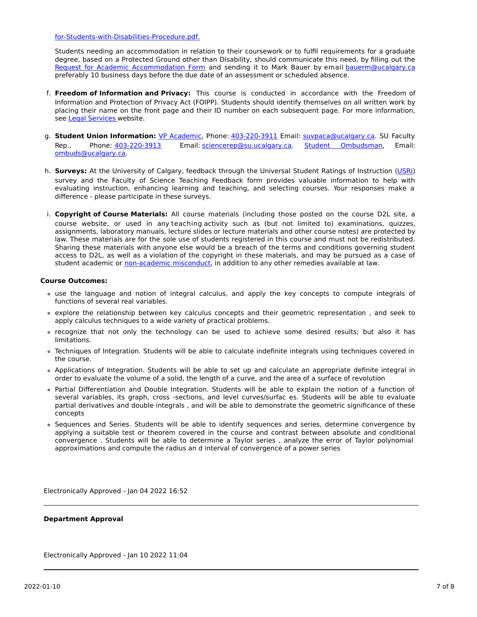### for-Students-with-Disabilities-Procedure.pdf.

Students needing an accommodation in relation to their coursework or to fulfil requirements for a graduate degree, based on a Protected Ground other than Disability, should communicate this need, by filling out the Request for Academic [Accommodation](https://science.ucalgary.ca/sites/default/files/teams/1/request-accommodation-academic-courses.pdf) Form and sending it to Mark Bauer by email [bauerm@ucalgary.ca](mailto:bauerm@ucalgary.ca) preferably 10 business days before the due date of an assessment or scheduled absence.

- f. **Freedom of Information and Privacy:** This course is conducted in accordance with the Freedom of Information and Protection of Privacy Act (FOIPP). Students should identify themselves on all written work by placing their name on the front page and their ID number on each subsequent page. For more information, see Legal [Services](https://www.ucalgary.ca/legal-services/access-information-privacy) website.
- g. **Student Union Information:** VP [Academic](http://www.su.ucalgary.ca/contact), Phone: [403-220-3911](tel:4032203911) Email: [suvpaca@ucalgary.ca](mailto:suvpaca@ucalgary.ca). SU Faculty Rep., Phone: [403-220-3913](tel:4032203913) Email: [sciencerep@su.ucalgary.ca](mailto:sciencerep@su.ucalgary.ca). Student [Ombudsman](https://www.ucalgary.ca/ombuds/), Email: [ombuds@ucalgary.ca](mailto:%20ombuds@ucalgary.ca).
- h. **Surveys:** At the University of Calgary, feedback through the Universal Student Ratings of Instruction [\(USRI](http://www.ucalgary.ca/usri)) survey and the Faculty of Science Teaching Feedback form provides valuable information to help with evaluating instruction, enhancing learning and teaching, and selecting courses. Your responses make a difference - please participate in these surveys.
- i. **Copyright of Course Materials:** All course materials (including those posted on the course D2L site, a course website, or used in any teaching activity such as (but not limited to) examinations, quizzes, assignments, laboratory manuals, lecture slides or lecture materials and other course notes) are protected by law. These materials are for the sole use of students registered in this course and must not be redistributed. Sharing these materials with anyone else would be a breach of the terms and conditions governing student access to D2L, as well as a violation of the copyright in these materials, and may be pursued as a case of student academic or [non-academic](https://www.ucalgary.ca/conduct/policy/non-academic-misconduct-policy) misconduct, in addition to any other remedies available at law.

### **Course Outcomes:**

- use the language and notion of integral calculus, and apply the key concepts to compute integrals of functions of several real variables.
- explore the relationship between key calculus concepts and their geometric representation , and seek to apply calculus techniques to a wide variety of practical problems.
- recognize that not only the technology can be used to achieve some desired results; but also it has limitations.
- Techniques of Integration. Students will be able to calculate indefinite integrals using techniques covered in the course.
- Applications of Integration. Students will be able to set up and calculate an appropriate definite integral in order to evaluate the volume of a solid, the length of a curve, and the area of a surface of revolution
- Partial Differentiation and Double Integration. Students will be able to explain the notion of a function of several variables, its graph, cross -sections, and level curves/surfac es. Students will be able to evaluate partial derivatives and double integrals , and will be able to demonstrate the geometric significance of these concepts
- Sequences and Series. Students will be able to identify sequences and series, determine convergence by applying a suitable test or theorem covered in the course and contrast between absolute and conditional convergence . Students will be able to determine a Taylor series , analyze the error of Taylor polynomial approximations and compute the radius an d interval of convergence of a power series

Electronically Approved - Jan 04 2022 16:52

### **Department Approval**

Electronically Approved - Jan 10 2022 11:04